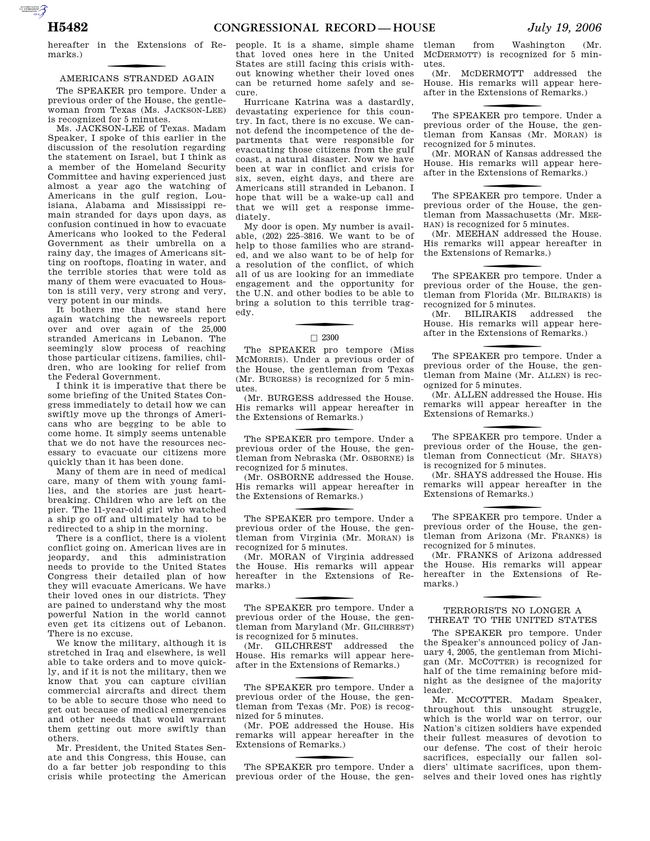hereafter in the Extensions of Remarks.)

# f AMERICANS STRANDED AGAIN

The SPEAKER pro tempore. Under a previous order of the House, the gentlewoman from Texas (Ms. JACKSON-LEE) is recognized for 5 minutes.

Ms. JACKSON-LEE of Texas. Madam Speaker, I spoke of this earlier in the discussion of the resolution regarding the statement on Israel, but I think as a member of the Homeland Security Committee and having experienced just almost a year ago the watching of Americans in the gulf region, Louisiana, Alabama and Mississippi remain stranded for days upon days, as confusion continued in how to evacuate Americans who looked to the Federal Government as their umbrella on a rainy day, the images of Americans sitting on rooftops, floating in water, and the terrible stories that were told as many of them were evacuated to Houston is still very, very strong and very, very potent in our minds.

It bothers me that we stand here again watching the newsreels report over and over again of the 25,000 stranded Americans in Lebanon. The seemingly slow process of reaching those particular citizens, families, children, who are looking for relief from the Federal Government.

I think it is imperative that there be some briefing of the United States Congress immediately to detail how we can swiftly move up the throngs of Americans who are begging to be able to come home. It simply seems untenable that we do not have the resources necessary to evacuate our citizens more quickly than it has been done.

Many of them are in need of medical care, many of them with young families, and the stories are just heartbreaking. Children who are left on the pier. The 11-year-old girl who watched a ship go off and ultimately had to be redirected to a ship in the morning.

There is a conflict, there is a violent conflict going on. American lives are in jeopardy, and this administration needs to provide to the United States Congress their detailed plan of how they will evacuate Americans. We have their loved ones in our districts. They are pained to understand why the most powerful Nation in the world cannot even get its citizens out of Lebanon. There is no excuse.

We know the military, although it is stretched in Iraq and elsewhere, is well able to take orders and to move quickly, and if it is not the military, then we know that you can capture civilian commercial aircrafts and direct them to be able to secure those who need to get out because of medical emergencies and other needs that would warrant them getting out more swiftly than others.

Mr. President, the United States Senate and this Congress, this House, can do a far better job responding to this crisis while protecting the American

people. It is a shame, simple shame that loved ones here in the United States are still facing this crisis without knowing whether their loved ones can be returned home safely and secure.

Hurricane Katrina was a dastardly, devastating experience for this country. In fact, there is no excuse. We cannot defend the incompetence of the departments that were responsible for evacuating those citizens from the gulf coast, a natural disaster. Now we have been at war in conflict and crisis for six, seven, eight days, and there are Americans still stranded in Lebanon. I hope that will be a wake-up call and that we will get a response immediately.

My door is open. My number is available, (202) 225–3816. We want to be of help to those families who are stranded, and we also want to be of help for a resolution of the conflict, of which all of us are looking for an immediate engagement and the opportunity for the U.N. and other bodies to be able to bring a solution to this terrible tragedy.

# $\Box$  2300

The SPEAKER pro tempore (Miss MCMORRIS). Under a previous order of the House, the gentleman from Texas (Mr. BURGESS) is recognized for 5 minutes.

(Mr. BURGESS addressed the House. His remarks will appear hereafter in the Extensions of Remarks.)

The SPEAKER pro tempore. Under a previous order of the House, the gentleman from Nebraska (Mr. OSBORNE) is recognized for 5 minutes.

(Mr. OSBORNE addressed the House. His remarks will appear hereafter in the Extensions of Remarks.)

The SPEAKER pro tempore. Under a previous order of the House, the gentleman from Virginia (Mr. MORAN) is recognized for 5 minutes.

(Mr. MORAN of Virginia addressed the House. His remarks will appear hereafter in the Extensions of Remarks.)

The SPEAKER pro tempore. Under a previous order of the House, the gentleman from Maryland (Mr. GILCHREST) is recognized for 5 minutes.

(Mr. GILCHREST addressed the House. His remarks will appear hereafter in the Extensions of Remarks.)

The SPEAKER pro tempore. Under a previous order of the House, the gentleman from Texas (Mr. POE) is recognized for 5 minutes.

(Mr. POE addressed the House. His remarks will appear hereafter in the Extensions of Remarks.)

The SPEAKER pro tempore. Under a previous order of the House, the gen-

tleman from Washington (Mr. MCDERMOTT) is recognized for 5 minutes.

(Mr. MCDERMOTT addressed the House. His remarks will appear hereafter in the Extensions of Remarks.)

The SPEAKER pro tempore. Under a previous order of the House, the gentleman from Kansas (Mr. MORAN) is recognized for 5 minutes.

(Mr. MORAN of Kansas addressed the House. His remarks will appear hereafter in the Extensions of Remarks.)

The SPEAKER pro tempore. Under a previous order of the House, the gentleman from Massachusetts (Mr. MEE-HAN) is recognized for 5 minutes.

(Mr. MEEHAN addressed the House. His remarks will appear hereafter in the Extensions of Remarks.)

The SPEAKER pro tempore. Under a previous order of the House, the gentleman from Florida (Mr. BILIRAKIS) is recognized for 5 minutes.<br>(Mr. BILIRAKIS a

BILIRAKIS addressed the House. His remarks will appear hereafter in the Extensions of Remarks.)

The SPEAKER pro tempore. Under a previous order of the House, the gentleman from Maine (Mr. ALLEN) is recognized for 5 minutes.

(Mr. ALLEN addressed the House. His remarks will appear hereafter in the Extensions of Remarks.)

The SPEAKER pro tempore. Under a previous order of the House, the gentleman from Connecticut (Mr. SHAYS) is recognized for 5 minutes.

(Mr. SHAYS addressed the House. His remarks will appear hereafter in the Extensions of Remarks.)

The SPEAKER pro tempore. Under a previous order of the House, the gentleman from Arizona (Mr. FRANKS) is recognized for 5 minutes.

(Mr. FRANKS of Arizona addressed the House. His remarks will appear hereafter in the Extensions of Remarks.)

## TERRORISTS NO LONGER A THREAT TO THE UNITED STATES

The SPEAKER pro tempore. Under the Speaker's announced policy of January 4, 2005, the gentleman from Michigan (Mr. MCCOTTER) is recognized for half of the time remaining before midnight as the designee of the majority leader.

Mr. MCCOTTER. Madam Speaker, throughout this unsought struggle, which is the world war on terror, our Nation's citizen soldiers have expended their fullest measures of devotion to our defense. The cost of their heroic sacrifices, especially our fallen soldiers' ultimate sacrifices, upon themselves and their loved ones has rightly

AUTOROTOMICALE CONTINUES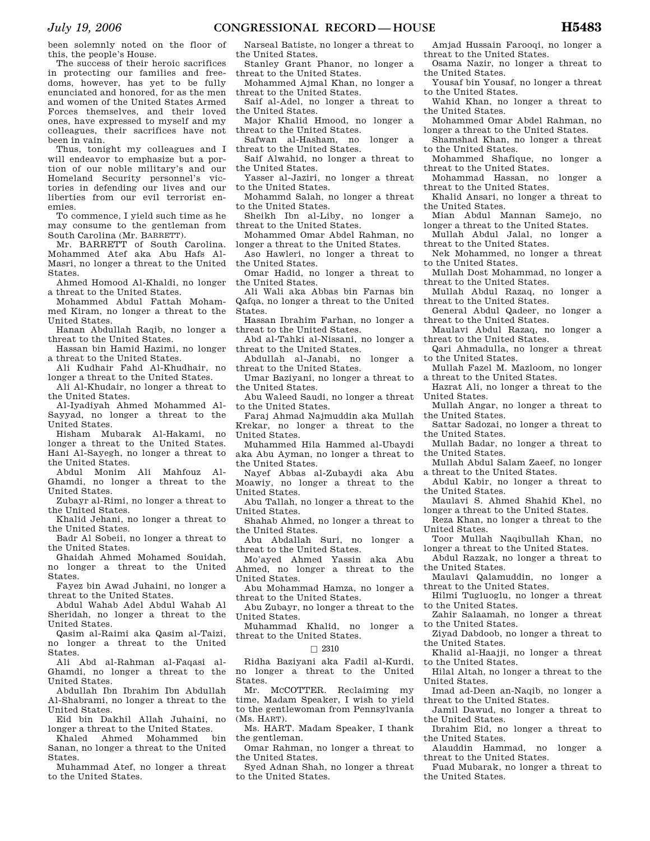been solemnly noted on the floor of this, the people's House.

The success of their heroic sacrifices in protecting our families and freedoms, however, has yet to be fully enunciated and honored, for as the men and women of the United States Armed Forces themselves, and their loved ones, have expressed to myself and my colleagues, their sacrifices have not been in vain.

Thus, tonight my colleagues and I will endeavor to emphasize but a portion of our noble military's and our Homeland Security personnel's victories in defending our lives and our liberties from our evil terrorist enemies.

To commence, I yield such time as he may consume to the gentleman from South Carolina (Mr. BARRETT).

Mr. BARRETT of South Carolina. Mohammed Atef aka Abu Hafs Al-Masri, no longer a threat to the United States.

Ahmed Homood Al-Khaldi, no longer a threat to the United States.

Mohammed Abdul Fattah Mohammed Kiram, no longer a threat to the United States.

Hanan Abdullah Raqib, no longer a threat to the United States.

Hassan bin Hamid Hazimi, no longer a threat to the United States.

Ali Kudhair Fahd Al-Khudhair, no longer a threat to the United States.

Ali Al-Khudair, no longer a threat to the United States.

Al-Iyadiyah Ahmed Mohammed Al-Sayyad, no longer a threat to the United States.

Hisham Mubarak Al-Hakami, no longer a threat to the United States. Hani Al-Sayegh, no longer a threat to the United States.

Abdul Monim Ali Mahfouz Al-Ghamdi, no longer a threat to the United States.

Zubayr al-Rimi, no longer a threat to the United States.

Khalid Jehani, no longer a threat to the United States.

Badr Al Sobeii, no longer a threat to the United States.

Ghaidah Ahmed Mohamed Souidah, no longer a threat to the United States.

Fayez bin Awad Juhaini, no longer a threat to the United States.

Abdul Wahab Adel Abdul Wahab Al Sheridah, no longer a threat to the United States.

Qasim al-Raimi aka Qasim al-Taizi, no longer a threat to the United States.

Ali Abd al-Rahman al-Faqasi al-Ghamdi, no longer a threat to the United States.

Abdullah Ibn Ibrahim Ibn Abdullah Al-Shabrami, no longer a threat to the United States.

Eid bin Dakhil Allah Juhaini, no longer a threat to the United States.

Khaled Ahmed Mohammed bin Sanan, no longer a threat to the United States.

Muhammad Atef, no longer a threat to the United States.

Narseal Batiste, no longer a threat to the United States.

Stanley Grant Phanor, no longer a threat to the United States.

Mohammed Ajmal Khan, no longer a threat to the United States.

Saif al-Adel, no longer a threat to the United States.

Major Khalid Hmood, no longer a threat to the United States.

Safwan al-Hasham, no longer a threat to the United States.

Saif Alwahid, no longer a threat to the United States.

Yasser al-Jaziri, no longer a threat to the United States.

Mohammd Salah, no longer a threat to the United States.

Sheikh Ibn al-Liby, no longer a threat to the United States.

Mohammed Omar Abdel Rahman, no longer a threat to the United States.

Aso Hawleri, no longer a threat to

the United States. Omar Hadid, no longer a threat to

the United States. Ali Wali aka Abbas bin Farnas bin Qafqa, no longer a threat to the United States.

Hassan Ibrahim Farhan, no longer a threat to the United States.

Abd al-Tahki al-Nissani, no longer a threat to the United States.

Abdullah al-Janabi, no longer a threat to the United States.

Umar Baziyani, no longer a threat to the United States.

Abu Waleed Saudi, no longer a threat to the United States.

Faraj Ahmad Najmuddin aka Mullah Krekar, no longer a threat to the United States.

Muhammed Hila Hammed al-Ubaydi aka Abu Ayman, no longer a threat to the United States.

Nayef Abbas al-Zubaydi aka Abu Moawiy, no longer a threat to the United States.

Abu Tallah, no longer a threat to the United States.

Shahab Ahmed, no longer a threat to the United States.

Abu Abdallah Suri, no longer a threat to the United States.

Mo'ayed Ahmed Yassin aka Abu Ahmed, no longer a threat to the United States.

Abu Mohammad Hamza, no longer a threat to the United States.

Abu Zubayr, no longer a threat to the United States.

Muhammad Khalid, no longer a threat to the United States.

#### $\Box$  2310

Ridha Baziyani aka Fadil al-Kurdi, no longer a threat to the United States.

Mr. MCCOTTER. Reclaiming my time, Madam Speaker, I wish to yield to the gentlewoman from Pennsylvania (Ms. HART).

Ms. HART. Madam Speaker, I thank the gentleman.

Omar Rahman, no longer a threat to the United States.

Syed Adnan Shah, no longer a threat to the United States.

Amjad Hussain Farooqi, no longer a threat to the United States.

Osama Nazir, no longer a threat to the United States.

Yousaf bin Yousaf, no longer a threat to the United States.

Wahid Khan, no longer a threat to the United States.

Mohammed Omar Abdel Rahman, no longer a threat to the United States.

Shamshad Khan, no longer a threat to the United States.

Mohammed Shafique, no longer a threat to the United States.

Mohammad Hassan, no longer a threat to the United States.

Khalid Ansari, no longer a threat to the United States.

Mian Abdul Mannan Samejo, no longer a threat to the United States.

Mullah Abdul Jalal, no longer a threat to the United States.

Nek Mohammed, no longer a threat to the United States.

Mullah Dost Mohammad, no longer a threat to the United States.

Mullah Abdul Razaq, no longer a threat to the United States.

General Abdul Qadeer, no longer a

threat to the United States. Maulavi Abdul Razaq, no longer a

threat to the United States. Qari Ahmadulla, no longer a threat

to the United States. Mullah Fazel M. Mazloom, no longer

a threat to the United States.

Hazrat Ali, no longer a threat to the United States.

Mullah Angar, no longer a threat to the United States.

Sattar Sadozai, no longer a threat to the United States.

Mullah Badar, no longer a threat to the United States.

Mullah Abdul Salam Zaeef, no longer a threat to the United States.

Abdul Kabir, no longer a threat to the United States.

Maulavi S. Ahmed Shahid Khel, no longer a threat to the United States.

Reza Khan, no longer a threat to the United States.

Toor Mullah Naqibullah Khan, no longer a threat to the United States.

Abdul Razzak, no longer a threat to the United States.

Maulavi Qalamuddin, no longer a threat to the United States.

Hilmi Tugluoglu, no longer a threat to the United States.

Zahir Salaamah, no longer a threat to the United States.

Ziyad Dabdoob, no longer a threat to the United States.

Khalid al-Haajji, no longer a threat to the United States.

Hilal Altah, no longer a threat to the United States.

Imad ad-Deen an-Naqib, no longer a threat to the United States.

Jamil Dawud, no longer a threat to the United States.

Ibrahim Eid, no longer a threat to the United States. Alauddin Hammad, no longer a

Fuad Mubarak, no longer a threat to

threat to the United States.

the United States.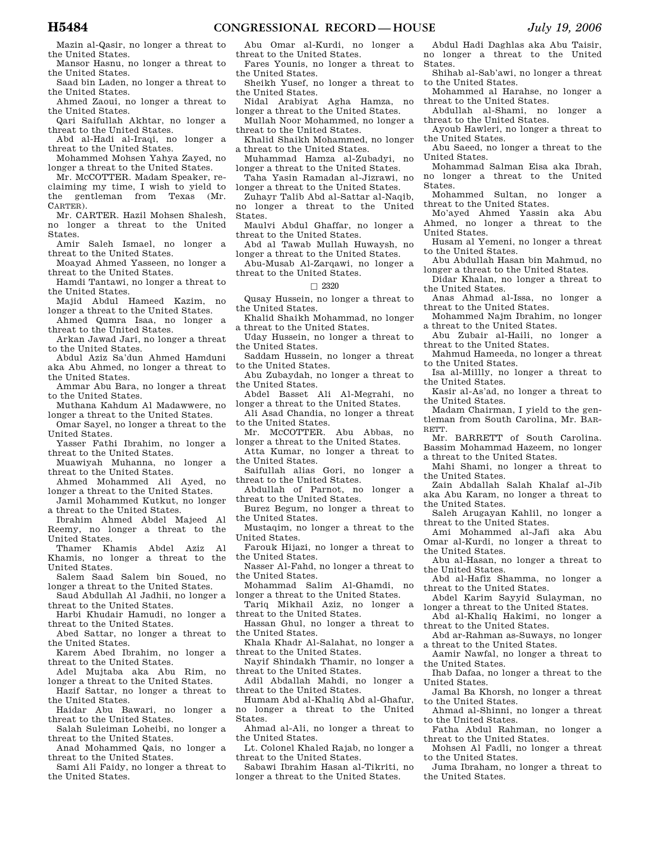Mazin al-Qasir, no longer a threat to the United States.

Mansor Hasnu, no longer a threat to the United States.

Saad bin Laden, no longer a threat to the United States.

Ahmed Zaoui, no longer a threat to the United States.

Qari Saifullah Akhtar, no longer a threat to the United States.

Abd al-Hadi al-Iraqi, no longer a threat to the United States.

Mohammed Mohsen Yahya Zayed, no longer a threat to the United States.

Mr. MCCOTTER. Madam Speaker, reclaiming my time, I wish to yield to the gentleman from Texas (Mr. CARTER).

Mr. CARTER. Hazil Mohsen Shalesh, no longer a threat to the United States.

Amir Saleh Ismael, no longer a threat to the United States.

Moayad Ahmed Yasseen, no longer a threat to the United States.

Hamdi Tantawi, no longer a threat to the United States.

Majid Abdul Hameed Kazim, no longer a threat to the United States.

Ahmed Qumra Isaa, no longer a threat to the United States.

Arkan Jawad Jari, no longer a threat to the United States.

Abdul Aziz Sa'dun Ahmed Hamduni aka Abu Ahmed, no longer a threat to the United States.

Ammar Abu Bara, no longer a threat to the United States.

Muthana Kahdum Al Madawwere, no longer a threat to the United States.

Omar Sayel, no longer a threat to the United States.

Yasser Fathi Ibrahim, no longer a threat to the United States.

- Muawiyah Muhanna, no longer a threat to the United States.
- Ahmed Mohammed Ali Ayed, no longer a threat to the United States.

Jamil Mohammed Kutkut, no longer a threat to the United States.

Ibrahim Ahmed Abdel Majeed Al Reemy, no longer a threat to the United States.

Thamer Khamis Abdel Aziz Al Khamis, no longer a threat to the United States.

Salem Saad Salem bin Soued, no longer a threat to the United States.

- Saud Abdullah Al Jadhii, no longer a threat to the United States.
- Harbi Khudair Hamudi, no longer a threat to the United States.
- Abed Sattar, no longer a threat to the United States.
- Karem Abed Ibrahim, no longer a threat to the United States.
- Adel Mujtaba aka Abu Rim, no longer a threat to the United States.
- Hazif Sattar, no longer a threat to the United States.

Haidar Abu Bawari, no longer a threat to the United States.

Salah Suleiman Loheibi, no longer a threat to the United States.

Anad Mohammed Qais, no longer a threat to the United States.

Sami Ali Faidy, no longer a threat to the United States.

Abu Omar al-Kurdi, no longer a threat to the United States.

Fares Younis, no longer a threat to the United States.

Sheikh Yusef, no longer a threat to the United States.

Nidal Arabiyat Agha Hamza, no longer a threat to the United States.

Mullah Noor Mohammed, no longer a threat to the United States.

Khalid Shaikh Mohammed, no longer a threat to the United States.

Muhammad Hamza al-Zubadyi, no longer a threat to the United States.

Taha Yasin Ramadan al-Jizrawi, no longer a threat to the United States.

Zuhayr Talib Abd al-Sattar al-Naqib, no longer a threat to the United States.

Maulvi Abdul Ghaffar, no longer a threat to the United States.

Abd al Tawab Mullah Huwaysh, no longer a threat to the United States.

Abu-Musab Al-Zarqawi, no longer a threat to the United States.

## $\Box$  2320

- Qusay Hussein, no longer a threat to the United States.
- Khalid Shaikh Mohammad, no longer a threat to the United States.

Uday Hussein, no longer a threat to the United States.

Saddam Hussein, no longer a threat to the United States.

Abu Zubaydah, no longer a threat to the United States.

Abdel Basset Ali Al-Megrahi, no longer a threat to the United States.

Ali Asad Chandia, no longer a threat to the United States.

Mr. MCCOTTER. Abu Abbas, no

longer a threat to the United States. Atta Kumar, no longer a threat to

the United States.

Saifullah alias Gori, no longer a threat to the United States.

Abdullah of Parnot, no longer a threat to the United States.

Burez Begum, no longer a threat to the United States.

Mustaqim, no longer a threat to the United States.

Farouk Hijazi, no longer a threat to the United States.

Nasser Al-Fahd, no longer a threat to the United States.

Mohammad Salim Al-Ghamdi, no longer a threat to the United States.

Tariq Mikhail Aziz, no longer a threat to the United States.

Hassan Ghul, no longer a threat to the United States.

Khala Khadr Al-Salahat, no longer a threat to the United States.

Nayif Shindakh Thamir, no longer a threat to the United States.

Adil Abdallah Mahdi, no longer a threat to the United States.

Humam Abd al-Khaliq Abd al-Ghafur, no longer a threat to the United States.

Ahmad al-Ali, no longer a threat to the United States.

Lt. Colonel Khaled Rajab, no longer a threat to the United States.

Sabawi Ibrahim Hasan al-Tikriti, no longer a threat to the United States.

Abdul Hadi Daghlas aka Abu Taisir, no longer a threat to the United States.

Shihab al-Sab'awi, no longer a threat to the United States.

Mohammed al Harahse, no longer a threat to the United States.

Abdullah al-Shami, no longer a threat to the United States.

Ayoub Hawleri, no longer a threat to the United States.

Abu Saeed, no longer a threat to the United States.

Mohammad Salman Eisa aka Ibrah, no longer a threat to the United States.

Mohammed Sultan, no longer a threat to the United States.

Mo'ayed Ahmed Yassin aka Abu Ahmed, no longer a threat to the United States.

Husam al Yemeni, no longer a threat to the United States.

Abu Abdullah Hasan bin Mahmud, no longer a threat to the United States.

Didar Khalan, no longer a threat to the United States.

Anas Ahmad al-Issa, no longer a threat to the United States.

Mohammed Najm Ibrahim, no longer a threat to the United States.

Abu Zubair al-Haili, no longer a threat to the United States.

Mahmud Hameeda, no longer a threat to the United States.

Isa al-Millly, no longer a threat to the United States.

Kasir al-As'ad, no longer a threat to the United States.

Madam Chairman, I yield to the gentleman from South Carolina, Mr. BAR-RETT.

Mr. BARRETT of South Carolina. Bassim Mohammad Hazeem, no longer a threat to the United States.

Mahi Shami, no longer a threat to the United States.

Zain Abdallah Salah Khalaf al-Jib aka Abu Karam, no longer a threat to the United States.

Saleh Arugayan Kahlil, no longer a threat to the United States.

Ami Mohammed al-Jafi aka Abu Omar al-Kurdi, no longer a threat to the United States. Abu al-Hasan, no longer a threat to

Abd al-Hafiz Shamma, no longer a

Abdel Karim Sayyid Sulayman, no longer a threat to the United States. Abd al-Khaliq Hakimi, no longer a

Abd ar-Rahman as-Suways, no longer

Aamir Nawfal, no longer a threat to

Ihab Dafaa, no longer a threat to the

Jamal Ba Khorsh, no longer a threat

Ahmad al-Shinni, no longer a threat

Fatha Abdul Rahman, no longer a

Mohsen Al Fadli, no longer a threat

Juma Ibraham, no longer a threat to

the United States.

the United States.

to the United States.

to the United States.

to the United States.

the United States.

threat to the United States.

United States.

threat to the United States.

threat to the United States.

a threat to the United States.